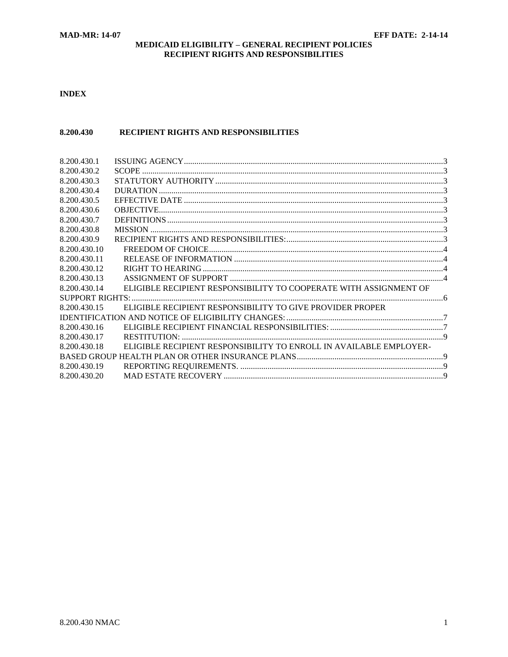# **INDEX**

#### 8.200.430 RECIPIENT RIGHTS AND RESPONSIBILITIES

| 8.200.430.1     |                                                                    |  |
|-----------------|--------------------------------------------------------------------|--|
| 8.200.430.2     |                                                                    |  |
| 8.200.430.3     |                                                                    |  |
| 8.200.430.4     |                                                                    |  |
| 8.200.430.5     |                                                                    |  |
| 8.200.430.6     |                                                                    |  |
| 8.200.430.7     |                                                                    |  |
| 8.200.430.8     | <b>MISSION</b>                                                     |  |
| 8.200.430.9     |                                                                    |  |
| 8.200.430.10    |                                                                    |  |
| 8.200.430.11    |                                                                    |  |
| 8.200.430.12    |                                                                    |  |
| 8.200.430.13    |                                                                    |  |
| 8.200.430.14    | ELIGIBLE RECIPIENT RESPONSIBILITY TO COOPERATE WITH ASSIGNMENT OF  |  |
| SUPPORT RIGHTS: |                                                                    |  |
| 8.200.430.15    | ELIGIBLE RECIPIENT RESPONSIBILITY TO GIVE PROVIDER PROPER          |  |
|                 |                                                                    |  |
| 8.200.430.16    |                                                                    |  |
| 8.200.430.17    |                                                                    |  |
| 8.200.430.18    | ELIGIBLE RECIPIENT RESPONSIBILITY TO ENROLL IN AVAILABLE EMPLOYER- |  |
|                 |                                                                    |  |
| 8.200.430.19    |                                                                    |  |
| 8.200.430.20    |                                                                    |  |
|                 |                                                                    |  |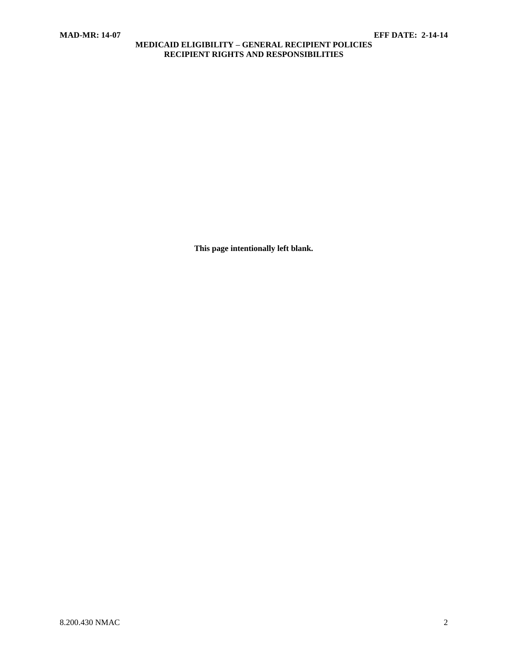**This page intentionally left blank.**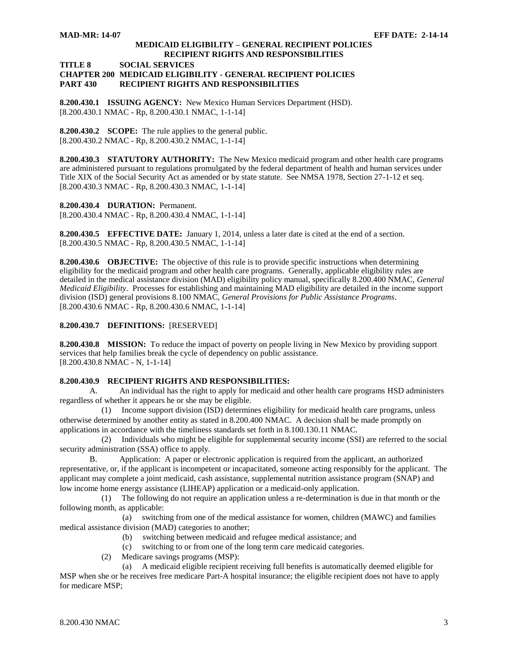#### **TITLE 8 SOCIAL SERVICES**

#### **CHAPTER 200 MEDICAID ELIGIBILITY - GENERAL RECIPIENT POLICIES PART 430 RECIPIENT RIGHTS AND RESPONSIBILITIES**

<span id="page-2-0"></span>**8.200.430.1 ISSUING AGENCY:** New Mexico Human Services Department (HSD). [8.200.430.1 NMAC - Rp, 8.200.430.1 NMAC, 1-1-14]

<span id="page-2-1"></span>**8.200.430.2 SCOPE:** The rule applies to the general public. [8.200.430.2 NMAC - Rp, 8.200.430.2 NMAC, 1-1-14]

<span id="page-2-2"></span>**8.200.430.3 STATUTORY AUTHORITY:** The New Mexico medicaid program and other health care programs are administered pursuant to regulations promulgated by the federal department of health and human services under Title XIX of the Social Security Act as amended or by state statute. See NMSA 1978, Section 27-1-12 et seq. [8.200.430.3 NMAC - Rp, 8.200.430.3 NMAC, 1-1-14]

<span id="page-2-3"></span>**8.200.430.4 DURATION:** Permanent. [8.200.430.4 NMAC - Rp, 8.200.430.4 NMAC, 1-1-14]

<span id="page-2-4"></span>**8.200.430.5 EFFECTIVE DATE:** January 1, 2014, unless a later date is cited at the end of a section. [8.200.430.5 NMAC - Rp, 8.200.430.5 NMAC, 1-1-14]

<span id="page-2-5"></span>**8.200.430.6 OBJECTIVE:** The objective of this rule is to provide specific instructions when determining eligibility for the medicaid program and other health care programs. Generally, applicable eligibility rules are detailed in the medical assistance division (MAD) eligibility policy manual, specifically 8.200.400 NMAC, *General Medicaid Eligibility*. Processes for establishing and maintaining MAD eligibility are detailed in the income support division (ISD) general provisions 8.100 NMAC, *General Provisions for Public Assistance Programs*. [8.200.430.6 NMAC - Rp, 8.200.430.6 NMAC, 1-1-14]

#### <span id="page-2-6"></span>**8.200.430.7 DEFINITIONS:** [RESERVED]

<span id="page-2-7"></span>**8.200.430.8 MISSION:** To reduce the impact of poverty on people living in New Mexico by providing support services that help families break the cycle of dependency on public assistance. [8.200.430.8 NMAC - N, 1-1-14]

#### <span id="page-2-8"></span>**8.200.430.9 RECIPIENT RIGHTS AND RESPONSIBILITIES:**

A. An individual has the right to apply for medicaid and other health care programs HSD administers regardless of whether it appears he or she may be eligible.

 (1) Income support division (ISD) determines eligibility for medicaid health care programs, unless otherwise determined by another entity as stated in 8.200.400 NMAC. A decision shall be made promptly on applications in accordance with the timeliness standards set forth in 8.100.130.11 NMAC.

 (2) Individuals who might be eligible for supplemental security income (SSI) are referred to the social security administration (SSA) office to apply.

B. Application: A paper or electronic application is required from the applicant, an authorized representative, or, if the applicant is incompetent or incapacitated, someone acting responsibly for the applicant. The applicant may complete a joint medicaid, cash assistance, supplemental nutrition assistance program (SNAP) and low income home energy assistance (LIHEAP) application or a medicaid-only application.

 (1) The following do not require an application unless a re-determination is due in that month or the following month, as applicable:

 (a) switching from one of the medical assistance for women, children (MAWC) and families medical assistance division (MAD) categories to another;

- (b) switching between medicaid and refugee medical assistance; and
- (c) switching to or from one of the long term care medicaid categories.
- (2) Medicare savings programs (MSP):

 (a) A medicaid eligible recipient receiving full benefits is automatically deemed eligible for MSP when she or he receives free medicare Part-A hospital insurance; the eligible recipient does not have to apply for medicare MSP;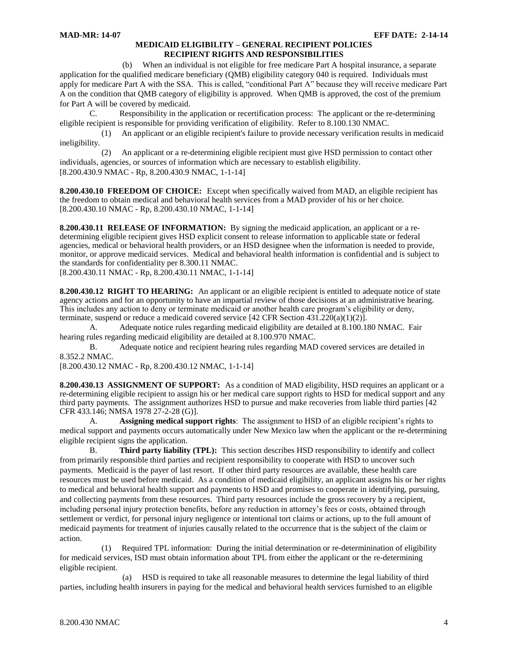(b) When an individual is not eligible for free medicare Part A hospital insurance, a separate application for the qualified medicare beneficiary (QMB) eligibility category 040 is required. Individuals must apply for medicare Part A with the SSA. This is called, "conditional Part A" because they will receive medicare Part A on the condition that QMB category of eligibility is approved. When QMB is approved, the cost of the premium for Part A will be covered by medicaid.

C. Responsibility in the application or recertification process: The applicant or the re-determining eligible recipient is responsible for providing verification of eligibility. Refer to 8.100.130 NMAC.

 (1) An applicant or an eligible recipient's failure to provide necessary verification results in medicaid ineligibility.

 (2) An applicant or a re-determining eligible recipient must give HSD permission to contact other individuals, agencies, or sources of information which are necessary to establish eligibility. [8.200.430.9 NMAC - Rp, 8.200.430.9 NMAC, 1-1-14]

<span id="page-3-0"></span>**8.200.430.10 FREEDOM OF CHOICE:** Except when specifically waived from MAD, an eligible recipient has the freedom to obtain medical and behavioral health services from a MAD provider of his or her choice. [8.200.430.10 NMAC - Rp, 8.200.430.10 NMAC, 1-1-14]

<span id="page-3-1"></span>**8.200.430.11 RELEASE OF INFORMATION:** By signing the medical application, an applicant or a redetermining eligible recipient gives HSD explicit consent to release information to applicable state or federal agencies, medical or behavioral health providers, or an HSD designee when the information is needed to provide, monitor, or approve medicaid services. Medical and behavioral health information is confidential and is subject to the standards for confidentiality per 8.300.11 NMAC.

[8.200.430.11 NMAC - Rp, 8.200.430.11 NMAC, 1-1-14]

<span id="page-3-2"></span>**8.200.430.12 RIGHT TO HEARING:** An applicant or an eligible recipient is entitled to adequate notice of state agency actions and for an opportunity to have an impartial review of those decisions at an administrative hearing. This includes any action to deny or terminate medicaid or another health care program's eligibility or deny, terminate, suspend or reduce a medicaid covered service [42 CFR Section 431.220(a)(1)(2)].

A. Adequate notice rules regarding medicaid eligibility are detailed at 8.100.180 NMAC. Fair hearing rules regarding medicaid eligibility are detailed at 8.100.970 NMAC.

B. Adequate notice and recipient hearing rules regarding MAD covered services are detailed in 8.352.2 NMAC.

[8.200.430.12 NMAC - Rp, 8.200.430.12 NMAC, 1-1-14]

<span id="page-3-3"></span>**8.200.430.13 ASSIGNMENT OF SUPPORT:** As a condition of MAD eligibility, HSD requires an applicant or a re-determining eligible recipient to assign his or her medical care support rights to HSD for medical support and any third party payments. The assignment authorizes HSD to pursue and make recoveries from liable third parties [42 CFR 433.146; NMSA 1978 27-2-28 (G)].

A. **Assigning medical support rights**: The assignment to HSD of an eligible recipient's rights to medical support and payments occurs automatically under New Mexico law when the applicant or the re-determining eligible recipient signs the application.

B. **Third party liability (TPL):** This section describes HSD responsibility to identify and collect from primarily responsible third parties and recipient responsibility to cooperate with HSD to uncover such payments. Medicaid is the payer of last resort. If other third party resources are available, these health care resources must be used before medicaid. As a condition of medicaid eligibility, an applicant assigns his or her rights to medical and behavioral health support and payments to HSD and promises to cooperate in identifying, pursuing, and collecting payments from these resources. Third party resources include the gross recovery by a recipient, including personal injury protection benefits, before any reduction in attorney's fees or costs, obtained through settlement or verdict, for personal injury negligence or intentional tort claims or actions, up to the full amount of medicaid payments for treatment of injuries causally related to the occurrence that is the subject of the claim or action.

 (1) Required TPL information: During the initial determination or re-determinination of eligibility for medicaid services, ISD must obtain information about TPL from either the applicant or the re-determining eligible recipient.

 (a) HSD is required to take all reasonable measures to determine the legal liability of third parties, including health insurers in paying for the medical and behavioral health services furnished to an eligible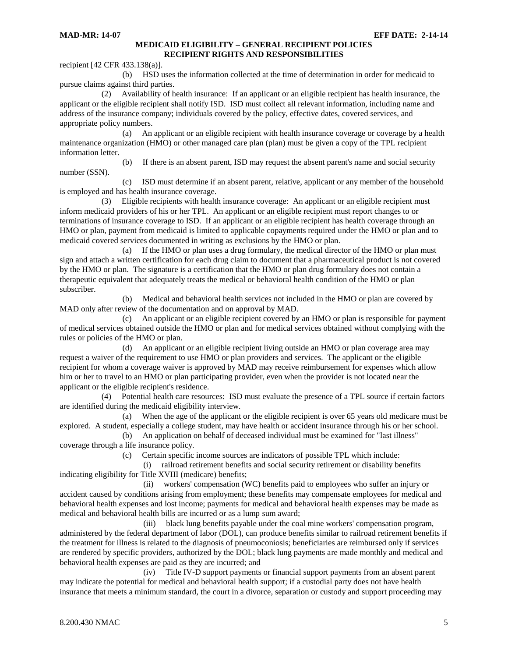recipient [42 CFR 433.138(a)].

 (b) HSD uses the information collected at the time of determination in order for medicaid to pursue claims against third parties.

 (2) Availability of health insurance: If an applicant or an eligible recipient has health insurance, the applicant or the eligible recipient shall notify ISD. ISD must collect all relevant information, including name and address of the insurance company; individuals covered by the policy, effective dates, covered services, and appropriate policy numbers.

 (a) An applicant or an eligible recipient with health insurance coverage or coverage by a health maintenance organization (HMO) or other managed care plan (plan) must be given a copy of the TPL recipient information letter.

 (b) If there is an absent parent, ISD may request the absent parent's name and social security number (SSN).

 (c) ISD must determine if an absent parent, relative, applicant or any member of the household is employed and has health insurance coverage.

 (3) Eligible recipients with health insurance coverage: An applicant or an eligible recipient must inform medicaid providers of his or her TPL. An applicant or an eligible recipient must report changes to or terminations of insurance coverage to ISD. If an applicant or an eligible recipient has health coverage through an HMO or plan, payment from medicaid is limited to applicable copayments required under the HMO or plan and to medicaid covered services documented in writing as exclusions by the HMO or plan.

 (a) If the HMO or plan uses a drug formulary, the medical director of the HMO or plan must sign and attach a written certification for each drug claim to document that a pharmaceutical product is not covered by the HMO or plan. The signature is a certification that the HMO or plan drug formulary does not contain a therapeutic equivalent that adequately treats the medical or behavioral health condition of the HMO or plan subscriber.

 (b) Medical and behavioral health services not included in the HMO or plan are covered by MAD only after review of the documentation and on approval by MAD.

 (c) An applicant or an eligible recipient covered by an HMO or plan is responsible for payment of medical services obtained outside the HMO or plan and for medical services obtained without complying with the rules or policies of the HMO or plan.

 (d) An applicant or an eligible recipient living outside an HMO or plan coverage area may request a waiver of the requirement to use HMO or plan providers and services. The applicant or the eligible recipient for whom a coverage waiver is approved by MAD may receive reimbursement for expenses which allow him or her to travel to an HMO or plan participating provider, even when the provider is not located near the applicant or the eligible recipient's residence.

 (4) Potential health care resources: ISD must evaluate the presence of a TPL source if certain factors are identified during the medicaid eligibility interview.

 (a) When the age of the applicant or the eligible recipient is over 65 years old medicare must be explored. A student, especially a college student, may have health or accident insurance through his or her school.

 (b) An application on behalf of deceased individual must be examined for "last illness" coverage through a life insurance policy.

(c) Certain specific income sources are indicators of possible TPL which include:

 (i) railroad retirement benefits and social security retirement or disability benefits indicating eligibility for Title XVIII (medicare) benefits;

 (ii) workers' compensation (WC) benefits paid to employees who suffer an injury or accident caused by conditions arising from employment; these benefits may compensate employees for medical and behavioral health expenses and lost income; payments for medical and behavioral health expenses may be made as medical and behavioral health bills are incurred or as a lump sum award;

 (iii) black lung benefits payable under the coal mine workers' compensation program, administered by the federal department of labor (DOL), can produce benefits similar to railroad retirement benefits if the treatment for illness is related to the diagnosis of pneumoconiosis; beneficiaries are reimbursed only if services are rendered by specific providers, authorized by the DOL; black lung payments are made monthly and medical and behavioral health expenses are paid as they are incurred; and

 (iv) Title IV-D support payments or financial support payments from an absent parent may indicate the potential for medical and behavioral health support; if a custodial party does not have health insurance that meets a minimum standard, the court in a divorce, separation or custody and support proceeding may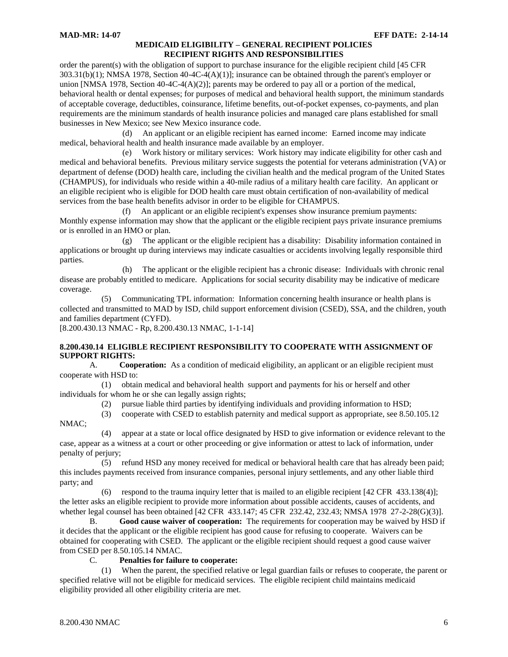order the parent(s) with the obligation of support to purchase insurance for the eligible recipient child [45 CFR 303.31(b)(1); NMSA 1978, Section 40-4C-4(A)(1)]; insurance can be obtained through the parent's employer or union [NMSA 1978, Section 40-4C-4(A)(2)]; parents may be ordered to pay all or a portion of the medical, behavioral health or dental expenses; for purposes of medical and behavioral health support, the minimum standards of acceptable coverage, deductibles, coinsurance, lifetime benefits, out-of-pocket expenses, co-payments, and plan requirements are the minimum standards of health insurance policies and managed care plans established for small businesses in New Mexico; see New Mexico insurance code.

 (d) An applicant or an eligible recipient has earned income: Earned income may indicate medical, behavioral health and health insurance made available by an employer.

 (e) Work history or military services: Work history may indicate eligibility for other cash and medical and behavioral benefits. Previous military service suggests the potential for veterans administration (VA) or department of defense (DOD) health care, including the civilian health and the medical program of the United States (CHAMPUS), for individuals who reside within a 40-mile radius of a military health care facility. An applicant or an eligible recipient who is eligible for DOD health care must obtain certification of non-availability of medical services from the base health benefits advisor in order to be eligible for CHAMPUS.

 (f) An applicant or an eligible recipient's expenses show insurance premium payments: Monthly expense information may show that the applicant or the eligible recipient pays private insurance premiums or is enrolled in an HMO or plan.

 (g) The applicant or the eligible recipient has a disability: Disability information contained in applications or brought up during interviews may indicate casualties or accidents involving legally responsible third parties.

 (h) The applicant or the eligible recipient has a chronic disease: Individuals with chronic renal disease are probably entitled to medicare. Applications for social security disability may be indicative of medicare coverage.

 (5) Communicating TPL information: Information concerning health insurance or health plans is collected and transmitted to MAD by ISD, child support enforcement division (CSED), SSA, and the children, youth and families department (CYFD).

[8.200.430.13 NMAC - Rp, 8.200.430.13 NMAC, 1-1-14]

#### <span id="page-5-0"></span>**8.200.430.14 ELIGIBLE RECIPIENT RESPONSIBILITY TO COOPERATE WITH ASSIGNMENT OF SUPPORT RIGHTS:**

A. **Cooperation:** As a condition of medicaid eligibility, an applicant or an eligible recipient must cooperate with HSD to:

 (1) obtain medical and behavioral health support and payments for his or herself and other individuals for whom he or she can legally assign rights;

(2) pursue liable third parties by identifying individuals and providing information to HSD;

 (3) cooperate with CSED to establish paternity and medical support as appropriate, see 8.50.105.12 NMAC;

 (4) appear at a state or local office designated by HSD to give information or evidence relevant to the case, appear as a witness at a court or other proceeding or give information or attest to lack of information, under penalty of perjury;

 (5) refund HSD any money received for medical or behavioral health care that has already been paid; this includes payments received from insurance companies, personal injury settlements, and any other liable third party; and

 (6) respond to the trauma inquiry letter that is mailed to an eligible recipient [42 CFR 433.138(4)]; the letter asks an eligible recipient to provide more information about possible accidents, causes of accidents, and whether legal counsel has been obtained [42 CFR 433.147; 45 CFR 232.42, 232.43; NMSA 1978 27-2-28(G)(3)].

B. **Good cause waiver of cooperation:** The requirements for cooperation may be waived by HSD if it decides that the applicant or the eligible recipient has good cause for refusing to cooperate. Waivers can be obtained for cooperating with CSED. The applicant or the eligible recipient should request a good cause waiver from CSED per 8.50.105.14 NMAC.

#### C. **Penalties for failure to cooperate:**

 (1) When the parent, the specified relative or legal guardian fails or refuses to cooperate, the parent or specified relative will not be eligible for medicaid services. The eligible recipient child maintains medicaid eligibility provided all other eligibility criteria are met.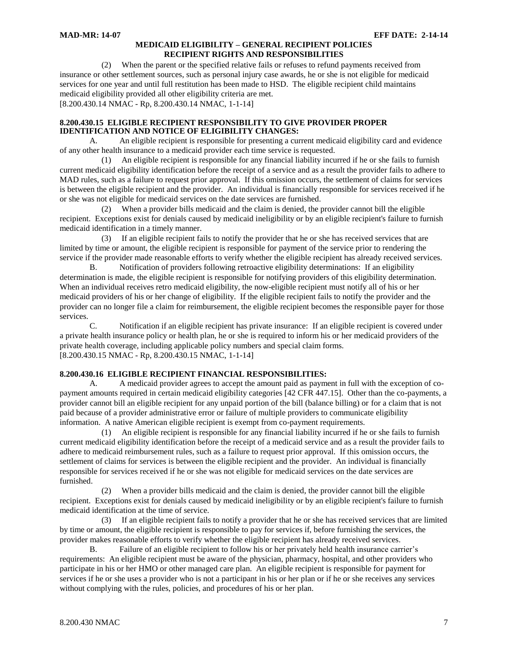(2) When the parent or the specified relative fails or refuses to refund payments received from insurance or other settlement sources, such as personal injury case awards, he or she is not eligible for medicaid services for one year and until full restitution has been made to HSD. The eligible recipient child maintains medicaid eligibility provided all other eligibility criteria are met. [8.200.430.14 NMAC - Rp, 8.200.430.14 NMAC, 1-1-14]

#### <span id="page-6-0"></span>**8.200.430.15 ELIGIBLE RECIPIENT RESPONSIBILITY TO GIVE PROVIDER PROPER IDENTIFICATION AND NOTICE OF ELIGIBILITY CHANGES:**

A. An eligible recipient is responsible for presenting a current medicaid eligibility card and evidence of any other health insurance to a medicaid provider each time service is requested.

 (1) An eligible recipient is responsible for any financial liability incurred if he or she fails to furnish current medicaid eligibility identification before the receipt of a service and as a result the provider fails to adhere to MAD rules, such as a failure to request prior approval. If this omission occurs, the settlement of claims for services is between the eligible recipient and the provider. An individual is financially responsible for services received if he or she was not eligible for medicaid services on the date services are furnished.

 (2) When a provider bills medicaid and the claim is denied, the provider cannot bill the eligible recipient. Exceptions exist for denials caused by medicaid ineligibility or by an eligible recipient's failure to furnish medicaid identification in a timely manner.

 (3) If an eligible recipient fails to notify the provider that he or she has received services that are limited by time or amount, the eligible recipient is responsible for payment of the service prior to rendering the service if the provider made reasonable efforts to verify whether the eligible recipient has already received services.

B. Notification of providers following retroactive eligibility determinations: If an eligibility determination is made, the eligible recipient is responsible for notifying providers of this eligibility determination. When an individual receives retro medicaid eligibility, the now-eligible recipient must notify all of his or her medicaid providers of his or her change of eligibility. If the eligible recipient fails to notify the provider and the provider can no longer file a claim for reimbursement, the eligible recipient becomes the responsible payer for those services.

C. Notification if an eligible recipient has private insurance: If an eligible recipient is covered under a private health insurance policy or health plan, he or she is required to inform his or her medicaid providers of the private health coverage, including applicable policy numbers and special claim forms. [8.200.430.15 NMAC - Rp, 8.200.430.15 NMAC, 1-1-14]

### <span id="page-6-1"></span>**8.200.430.16 ELIGIBLE RECIPIENT FINANCIAL RESPONSIBILITIES:**

A. A medicaid provider agrees to accept the amount paid as payment in full with the exception of copayment amounts required in certain medicaid eligibility categories [42 CFR 447.15]. Other than the co-payments, a provider cannot bill an eligible recipient for any unpaid portion of the bill (balance billing) or for a claim that is not paid because of a provider administrative error or failure of multiple providers to communicate eligibility information. A native American eligible recipient is exempt from co-payment requirements.

 (1) An eligible recipient is responsible for any financial liability incurred if he or she fails to furnish current medicaid eligibility identification before the receipt of a medicaid service and as a result the provider fails to adhere to medicaid reimbursement rules, such as a failure to request prior approval. If this omission occurs, the settlement of claims for services is between the eligible recipient and the provider. An individual is financially responsible for services received if he or she was not eligible for medicaid services on the date services are furnished.

 (2) When a provider bills medicaid and the claim is denied, the provider cannot bill the eligible recipient. Exceptions exist for denials caused by medicaid ineligibility or by an eligible recipient's failure to furnish medicaid identification at the time of service.

 (3) If an eligible recipient fails to notify a provider that he or she has received services that are limited by time or amount, the eligible recipient is responsible to pay for services if, before furnishing the services, the provider makes reasonable efforts to verify whether the eligible recipient has already received services.

B. Failure of an eligible recipient to follow his or her privately held health insurance carrier's requirements: An eligible recipient must be aware of the physician, pharmacy, hospital, and other providers who participate in his or her HMO or other managed care plan. An eligible recipient is responsible for payment for services if he or she uses a provider who is not a participant in his or her plan or if he or she receives any services without complying with the rules, policies, and procedures of his or her plan.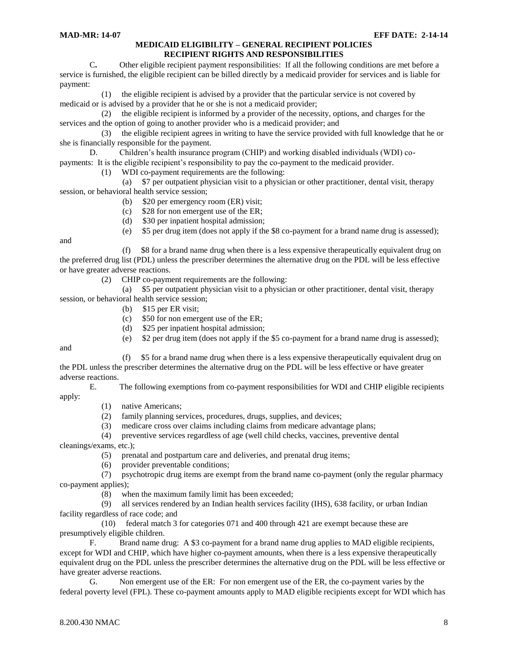C**.** Other eligible recipient payment responsibilities: If all the following conditions are met before a service is furnished, the eligible recipient can be billed directly by a medicaid provider for services and is liable for payment:

 (1) the eligible recipient is advised by a provider that the particular service is not covered by medicaid or is advised by a provider that he or she is not a medicaid provider;

 (2) the eligible recipient is informed by a provider of the necessity, options, and charges for the services and the option of going to another provider who is a medicaid provider; and

 (3) the eligible recipient agrees in writing to have the service provided with full knowledge that he or she is financially responsible for the payment.

D. Children's health insurance program (CHIP) and working disabled individuals (WDI) copayments: It is the eligible recipient's responsibility to pay the co-payment to the medicaid provider.

(1) WDI co-payment requirements are the following:

 (a) \$7 per outpatient physician visit to a physician or other practitioner, dental visit, therapy session, or behavioral health service session;

- (b) \$20 per emergency room (ER) visit;
- (c) \$28 for non emergent use of the ER;
- (d) \$30 per inpatient hospital admission;
- (e) \$5 per drug item (does not apply if the \$8 co-payment for a brand name drug is assessed);

and

 (f) \$8 for a brand name drug when there is a less expensive therapeutically equivalent drug on the preferred drug list (PDL) unless the prescriber determines the alternative drug on the PDL will be less effective or have greater adverse reactions.

(2) CHIP co-payment requirements are the following:

 (a) \$5 per outpatient physician visit to a physician or other practitioner, dental visit, therapy session, or behavioral health service session;

- (b) \$15 per ER visit;
- (c) \$50 for non emergent use of the ER;
- (d) \$25 per inpatient hospital admission;
- (e) \$2 per drug item (does not apply if the \$5 co-payment for a brand name drug is assessed);

and

 (f) \$5 for a brand name drug when there is a less expensive therapeutically equivalent drug on the PDL unless the prescriber determines the alternative drug on the PDL will be less effective or have greater adverse reactions.

E. The following exemptions from co-payment responsibilities for WDI and CHIP eligible recipients apply:

- (1) native Americans;
- (2) family planning services, procedures, drugs, supplies, and devices;
- (3) medicare cross over claims including claims from medicare advantage plans;
- (4) preventive services regardless of age (well child checks, vaccines, preventive dental

cleanings/exams, etc.);

- (5) prenatal and postpartum care and deliveries, and prenatal drug items;
- (6) provider preventable conditions;

 (7) psychotropic drug items are exempt from the brand name co-payment (only the regular pharmacy co-payment applies);

(8) when the maximum family limit has been exceeded;

 (9) all services rendered by an Indian health services facility (IHS), 638 facility, or urban Indian facility regardless of race code; and

 (10) federal match 3 for categories 071 and 400 through 421 are exempt because these are presumptively eligible children.

F. Brand name drug: A \$3 co-payment for a brand name drug applies to MAD eligible recipients, except for WDI and CHIP, which have higher co-payment amounts, when there is a less expensive therapeutically equivalent drug on the PDL unless the prescriber determines the alternative drug on the PDL will be less effective or have greater adverse reactions.

G. Non emergent use of the ER: For non emergent use of the ER, the co-payment varies by the federal poverty level (FPL). These co-payment amounts apply to MAD eligible recipients except for WDI which has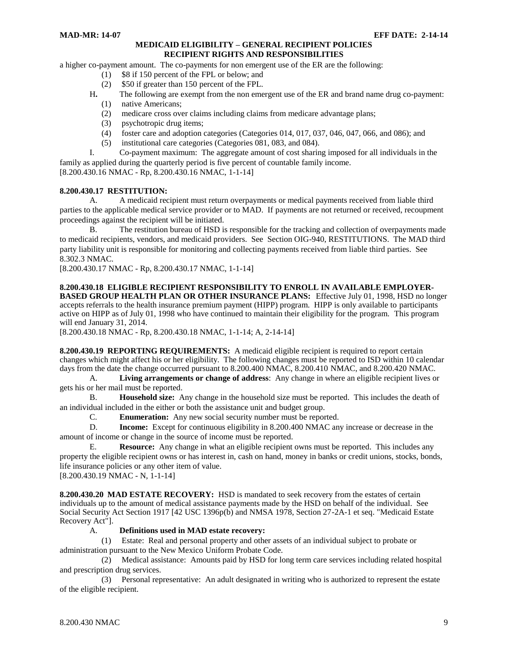a higher co-payment amount. The co-payments for non emergent use of the ER are the following:

- (1) \$8 if 150 percent of the FPL or below; and
- (2) \$50 if greater than 150 percent of the FPL.
- H**.** The following are exempt from the non emergent use of the ER and brand name drug co-payment: (1) native Americans;
	- (2) medicare cross over claims including claims from medicare advantage plans;
	- (3) psychotropic drug items;
	- (4) foster care and adoption categories (Categories 014, 017, 037, 046, 047, 066, and 086); and
	- (5) institutional care categories (Categories 081, 083, and 084).

I. Co-payment maximum: The aggregate amount of cost sharing imposed for all individuals in the family as applied during the quarterly period is five percent of countable family income. [8.200.430.16 NMAC - Rp, 8.200.430.16 NMAC, 1-1-14]

# <span id="page-8-0"></span>**8.200.430.17 RESTITUTION:**

A. A medicaid recipient must return overpayments or medical payments received from liable third parties to the applicable medical service provider or to MAD. If payments are not returned or received, recoupment proceedings against the recipient will be initiated.

B. The restitution bureau of HSD is responsible for the tracking and collection of overpayments made to medicaid recipients, vendors, and medicaid providers. See Section OIG-940, RESTITUTIONS. The MAD third party liability unit is responsible for monitoring and collecting payments received from liable third parties. See 8.302.3 NMAC.

[8.200.430.17 NMAC - Rp, 8.200.430.17 NMAC, 1-1-14]

<span id="page-8-1"></span>**8.200.430.18 ELIGIBLE RECIPIENT RESPONSIBILITY TO ENROLL IN AVAILABLE EMPLOYER-BASED GROUP HEALTH PLAN OR OTHER INSURANCE PLANS:** Effective July 01, 1998, HSD no longer accepts referrals to the health insurance premium payment (HIPP) program. HIPP is only available to participants active on HIPP as of July 01, 1998 who have continued to maintain their eligibility for the program. This program will end January 31, 2014.

[8.200.430.18 NMAC - Rp, 8.200.430.18 NMAC, 1-1-14; A, 2-14-14]

<span id="page-8-2"></span>**8.200.430.19 REPORTING REQUIREMENTS:** A medicaid eligible recipient is required to report certain changes which might affect his or her eligibility. The following changes must be reported to ISD within 10 calendar days from the date the change occurred pursuant to 8.200.400 NMAC, 8.200.410 NMAC, and 8.200.420 NMAC.

A. **Living arrangements or change of address**: Any change in where an eligible recipient lives or gets his or her mail must be reported.

B. **Household size:** Any change in the household size must be reported. This includes the death of an individual included in the either or both the assistance unit and budget group.

C. **Enumeration:** Any new social security number must be reported.

D. **Income:** Except for continuous eligibility in 8.200.400 NMAC any increase or decrease in the amount of income or change in the source of income must be reported.

E. **Resource:** Any change in what an eligible recipient owns must be reported. This includes any property the eligible recipient owns or has interest in, cash on hand, money in banks or credit unions, stocks, bonds, life insurance policies or any other item of value.

[8.200.430.19 NMAC - N, 1-1-14]

<span id="page-8-3"></span>**8.200.430.20 MAD ESTATE RECOVERY:** HSD is mandated to seek recovery from the estates of certain individuals up to the amount of medical assistance payments made by the HSD on behalf of the individual. See Social Security Act Section 1917 [42 USC 1396p(b) and NMSA 1978, Section 27-2A-1 et seq. "Medicaid Estate Recovery Act"].

#### A. **Definitions used in MAD estate recovery:**

 (1) Estate: Real and personal property and other assets of an individual subject to probate or administration pursuant to the New Mexico Uniform Probate Code.

 (2) Medical assistance: Amounts paid by HSD for long term care services including related hospital and prescription drug services.

 (3) Personal representative: An adult designated in writing who is authorized to represent the estate of the eligible recipient.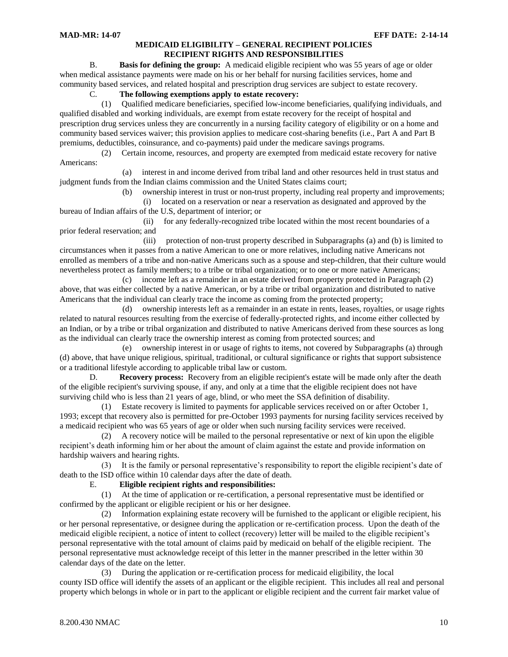B. **Basis for defining the group:** A medicaid eligible recipient who was 55 years of age or older when medical assistance payments were made on his or her behalf for nursing facilities services, home and community based services, and related hospital and prescription drug services are subject to estate recovery.

#### C. **The following exemptions apply to estate recovery:**

 (1) Qualified medicare beneficiaries, specified low-income beneficiaries, qualifying individuals, and qualified disabled and working individuals, are exempt from estate recovery for the receipt of hospital and prescription drug services unless they are concurrently in a nursing facility category of eligibility or on a home and community based services waiver; this provision applies to medicare cost-sharing benefits (i.e., Part A and Part B premiums, deductibles, coinsurance, and co-payments) paid under the medicare savings programs.

 (2) Certain income, resources, and property are exempted from medicaid estate recovery for native Americans:

 (a) interest in and income derived from tribal land and other resources held in trust status and judgment funds from the Indian claims commission and the United States claims court;

(b) ownership interest in trust or non-trust property, including real property and improvements;

 (i) located on a reservation or near a reservation as designated and approved by the bureau of Indian affairs of the U.S, department of interior; or

 (ii) for any federally-recognized tribe located within the most recent boundaries of a prior federal reservation; and

 (iii) protection of non-trust property described in Subparagraphs (a) and (b) is limited to circumstances when it passes from a native American to one or more relatives, including native Americans not enrolled as members of a tribe and non-native Americans such as a spouse and step-children, that their culture would nevertheless protect as family members; to a tribe or tribal organization; or to one or more native Americans;

 (c) income left as a remainder in an estate derived from property protected in Paragraph (2) above, that was either collected by a native American, or by a tribe or tribal organization and distributed to native Americans that the individual can clearly trace the income as coming from the protected property;

 (d) ownership interests left as a remainder in an estate in rents, leases, royalties, or usage rights related to natural resources resulting from the exercise of federally-protected rights, and income either collected by an Indian, or by a tribe or tribal organization and distributed to native Americans derived from these sources as long as the individual can clearly trace the ownership interest as coming from protected sources; and

 (e) ownership interest in or usage of rights to items, not covered by Subparagraphs (a) through (d) above, that have unique religious, spiritual, traditional, or cultural significance or rights that support subsistence or a traditional lifestyle according to applicable tribal law or custom.

D. **Recovery process:** Recovery from an eligible recipient's estate will be made only after the death of the eligible recipient's surviving spouse, if any, and only at a time that the eligible recipient does not have surviving child who is less than 21 years of age, blind, or who meet the SSA definition of disability.

 (1) Estate recovery is limited to payments for applicable services received on or after October 1, 1993; except that recovery also is permitted for pre-October 1993 payments for nursing facility services received by a medicaid recipient who was 65 years of age or older when such nursing facility services were received.

 (2) A recovery notice will be mailed to the personal representative or next of kin upon the eligible recipient's death informing him or her about the amount of claim against the estate and provide information on hardship waivers and hearing rights.

 (3) It is the family or personal representative's responsibility to report the eligible recipient's date of death to the ISD office within 10 calendar days after the date of death.

#### E. **Eligible recipient rights and responsibilities:**

 (1) At the time of application or re-certification, a personal representative must be identified or confirmed by the applicant or eligible recipient or his or her designee.

 (2) Information explaining estate recovery will be furnished to the applicant or eligible recipient, his or her personal representative, or designee during the application or re-certification process. Upon the death of the medicaid eligible recipient, a notice of intent to collect (recovery) letter will be mailed to the eligible recipient's personal representative with the total amount of claims paid by medicaid on behalf of the eligible recipient. The personal representative must acknowledge receipt of this letter in the manner prescribed in the letter within 30 calendar days of the date on the letter.

 (3) During the application or re-certification process for medicaid eligibility, the local county ISD office will identify the assets of an applicant or the eligible recipient. This includes all real and personal property which belongs in whole or in part to the applicant or eligible recipient and the current fair market value of